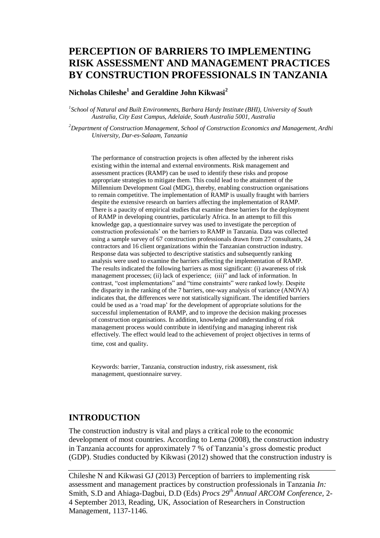# **PERCEPTION OF BARRIERS TO IMPLEMENTING RISK ASSESSMENT AND MANAGEMENT PRACTICES BY CONSTRUCTION PROFESSIONALS IN TANZANIA**

### **Nicholas Chileshe<sup>1</sup> and Geraldine John Kikwasi<sup>2</sup>**

*1 School of Natural and Built Environments, Barbara Hardy Institute (BHI), University of South Australia, City East Campus, Adelaide, South Australia 5001, Australia* 

*<sup>2</sup>Department of Construction Management, School of Construction Economics and Management, Ardhi University, Dar-es-Salaam, Tanzania*

The performance of construction projects is often affected by the inherent risks existing within the internal and external environments. Risk management and assessment practices (RAMP) can be used to identify these risks and propose appropriate strategies to mitigate them. This could lead to the attainment of the Millennium Development Goal (MDG), thereby, enabling construction organisations to remain competitive. The implementation of RAMP is usually fraught with barriers despite the extensive research on barriers affecting the implementation of RAMP. There is a paucity of empirical studies that examine these barriers for the deployment of RAMP in developing countries, particularly Africa. In an attempt to fill this knowledge gap, a questionnaire survey was used to investigate the perception of construction professionals' on the barriers to RAMP in Tanzania. Data was collected using a sample survey of 67 construction professionals drawn from 27 consultants, 24 contractors and 16 client organizations within the Tanzanian construction industry. Response data was subjected to descriptive statistics and subsequently ranking analysis were used to examine the barriers affecting the implementation of RAMP. The results indicated the following barriers as most significant: (i) awareness of risk management processes; (ii) lack of experience; (iii)" and lack of information. In contrast, "cost implementations" and "time constraints" were ranked lowly. Despite the disparity in the ranking of the 7 barriers, one-way analysis of variance (ANOVA) indicates that, the differences were not statistically significant. The identified barriers could be used as a 'road map' for the development of appropriate solutions for the successful implementation of RAMP, and to improve the decision making processes of construction organisations. In addition, knowledge and understanding of risk management process would contribute in identifying and managing inherent risk effectively. The effect would lead to the achievement of project objectives in terms of time, cost and quality.

Keywords: barrier, Tanzania, construction industry, risk assessment, risk management, questionnaire survey.

### **INTRODUCTION**

The construction industry is vital and plays a critical role to the economic development of most countries. According to Lema (2008), the construction industry in Tanzania accounts for approximately 7 % of Tanzania's gross domestic product (GDP). Studies conducted by Kikwasi (2012) showed that the construction industry is

Chileshe N and Kikwasi GJ (2013) Perception of barriers to implementing risk assessment and management practices by construction professionals in Tanzania *In:*  Smith, S.D and Ahiaga-Dagbui, D.D (Eds) *Procs 29th Annual ARCOM Conference,* 2- 4 September 2013, Reading, UK, Association of Researchers in Construction Management, 1137[-1146.](#page-9-0)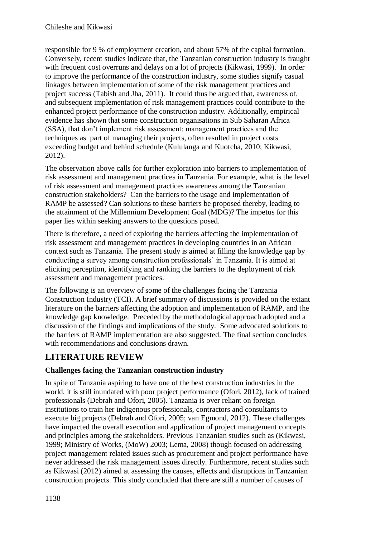responsible for 9 % of employment creation, and about 57% of the capital formation. Conversely, recent studies indicate that, the Tanzanian construction industry is fraught with frequent cost overruns and delays on a lot of projects (Kikwasi, 1999). In order to improve the performance of the construction industry, some studies signify casual linkages between implementation of some of the risk management practices and project success (Tabish and Jha, 2011). It could thus be argued that, awareness of, and subsequent implementation of risk management practices could contribute to the enhanced project performance of the construction industry. Additionally, empirical evidence has shown that some construction organisations in Sub Saharan Africa (SSA), that don't implement risk assessment; management practices and the techniques as part of managing their projects, often resulted in project costs exceeding budget and behind schedule (Kululanga and Kuotcha, 2010; Kikwasi, 2012).

The observation above calls for further exploration into barriers to implementation of risk assessment and management practices in Tanzania. For example, what is the level of risk assessment and management practices awareness among the Tanzanian construction stakeholders? Can the barriers to the usage and implementation of RAMP be assessed? Can solutions to these barriers be proposed thereby, leading to the attainment of the Millennium Development Goal (MDG)? The impetus for this paper lies within seeking answers to the questions posed.

There is therefore, a need of exploring the barriers affecting the implementation of risk assessment and management practices in developing countries in an African context such as Tanzania. The present study is aimed at filling the knowledge gap by conducting a survey among construction professionals' in Tanzania. It is aimed at eliciting perception, identifying and ranking the barriers to the deployment of risk assessment and management practices.

The following is an overview of some of the challenges facing the Tanzania Construction Industry (TCI). A brief summary of discussions is provided on the extant literature on the barriers affecting the adoption and implementation of RAMP, and the knowledge gap knowledge. Preceded by the methodological approach adopted and a discussion of the findings and implications of the study. Some advocated solutions to the barriers of RAMP implementation are also suggested. The final section concludes with recommendations and conclusions drawn.

## **LITERATURE REVIEW**

### **Challenges facing the Tanzanian construction industry**

In spite of Tanzania aspiring to have one of the best construction industries in the world, it is still inundated with poor project performance (Ofori, 2012), lack of trained professionals (Debrah and Ofori, 2005). Tanzania is over reliant on foreign institutions to train her indigenous professionals, contractors and consultants to execute big projects (Debrah and Ofori, 2005; van Egmond, 2012). These challenges have impacted the overall execution and application of project management concepts and principles among the stakeholders. Previous Tanzanian studies such as (Kikwasi, 1999; Ministry of Works, (MoW) 2003; Lema, 2008) though focused on addressing project management related issues such as procurement and project performance have never addressed the risk management issues directly. Furthermore, recent studies such as Kikwasi (2012) aimed at assessing the causes, effects and disruptions in Tanzanian construction projects. This study concluded that there are still a number of causes of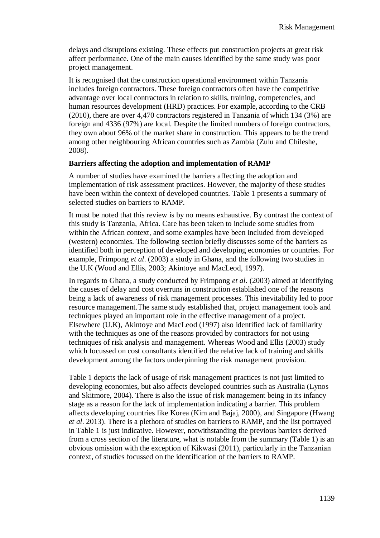delays and disruptions existing. These effects put construction projects at great risk affect performance. One of the main causes identified by the same study was poor project management.

It is recognised that the construction operational environment within Tanzania includes foreign contractors. These foreign contractors often have the competitive advantage over local contractors in relation to skills, training, competencies, and human resources development (HRD) practices. For example, according to the CRB (2010), there are over 4,470 contractors registered in Tanzania of which 134 (3%) are foreign and 4336 (97%) are local. Despite the limited numbers of foreign contractors, they own about 96% of the market share in construction. This appears to be the trend among other neighbouring African countries such as Zambia (Zulu and Chileshe, 2008).

#### **Barriers affecting the adoption and implementation of RAMP**

A number of studies have examined the barriers affecting the adoption and implementation of risk assessment practices. However, the majority of these studies have been within the context of developed countries. Table 1 presents a summary of selected studies on barriers to RAMP.

It must be noted that this review is by no means exhaustive. By contrast the context of this study is Tanzania, Africa. Care has been taken to include some studies from within the African context, and some examples have been included from developed (western) economies. The following section briefly discusses some of the barriers as identified both in perception of developed and developing economies or countries. For example, Frimpong *et al*. (2003) a study in Ghana, and the following two studies in the U.K (Wood and Ellis, 2003; Akintoye and MacLeod, 1997).

In regards to Ghana, a study conducted by Frimpong *et al*. (2003) aimed at identifying the causes of delay and cost overruns in construction established one of the reasons being a lack of awareness of risk management processes. This inevitability led to poor resource management.The same study established that, project management tools and techniques played an important role in the effective management of a project. Elsewhere (U.K), Akintoye and MacLeod (1997) also identified lack of familiarity with the techniques as one of the reasons provided by contractors for not using techniques of risk analysis and management. Whereas Wood and Ellis (2003) study which focussed on cost consultants identified the relative lack of training and skills development among the factors underpinning the risk management provision.

Table 1 depicts the lack of usage of risk management practices is not just limited to developing economies, but also affects developed countries such as Australia (Lynos and Skitmore, 2004). There is also the issue of risk management being in its infancy stage as a reason for the lack of implementation indicating a barrier. This problem affects developing countries like Korea (Kim and Bajaj, 2000), and Singapore (Hwang *et al*. 2013). There is a plethora of studies on barriers to RAMP, and the list portrayed in Table 1 is just indicative. However, notwithstanding the previous barriers derived from a cross section of the literature, what is notable from the summary (Table 1) is an obvious omission with the exception of Kikwasi (2011), particularly in the Tanzanian context, of studies focussed on the identification of the barriers to RAMP.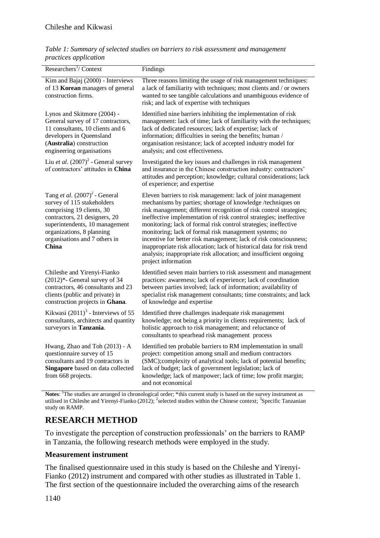| Table 1: Summary of selected studies on barriers to risk assessment and management |  |  |
|------------------------------------------------------------------------------------|--|--|
| <i>practices application</i>                                                       |  |  |

| Researchers <sup>1</sup> / Context                                                                                                                                                                                                    | Findings                                                                                                                                                                                                                                                                                                                                                                                                                                                                                                                                                                                                                                       |
|---------------------------------------------------------------------------------------------------------------------------------------------------------------------------------------------------------------------------------------|------------------------------------------------------------------------------------------------------------------------------------------------------------------------------------------------------------------------------------------------------------------------------------------------------------------------------------------------------------------------------------------------------------------------------------------------------------------------------------------------------------------------------------------------------------------------------------------------------------------------------------------------|
| Kim and Bajaj (2000) - Interviews<br>of 13 Korean managers of general<br>construction firms.                                                                                                                                          | Three reasons limiting the usage of risk management techniques:<br>a lack of familiarity with techniques; most clients and / or owners<br>wanted to see tangible calculations and unambiguous evidence of<br>risk; and lack of expertise with techniques                                                                                                                                                                                                                                                                                                                                                                                       |
| Lynos and Skitmore (2004) -<br>General survey of 17 contractors,<br>11 consultants, 10 clients and 6<br>developers in Queensland<br>(Australia) construction<br>engineering organisations                                             | Identified nine barriers inhibiting the implementation of risk<br>management: lack of time; lack of familiarity with the techniques;<br>lack of dedicated resources; lack of expertise; lack of<br>information; difficulties in seeing the benefits; human /<br>organisation resistance; lack of accepted industry model for<br>analysis; and cost effectiveness.                                                                                                                                                                                                                                                                              |
| Liu et al. $(2007)^2$ - General survey<br>of contractors' attitudes in China                                                                                                                                                          | Investigated the key issues and challenges in risk management<br>and insurance in the Chinese construction industry: contractors'<br>attitudes and perception; knowledge; cultural considerations; lack<br>of experience; and expertise                                                                                                                                                                                                                                                                                                                                                                                                        |
| Tang et al. $(2007)^2$ - General<br>survey of 115 stakeholders<br>comprising 19 clients, 30<br>contractors, 21 designers, 20<br>superintendents, 10 management<br>organizations, 8 planning<br>organisations and 7 others in<br>China | Eleven barriers to risk management: lack of joint management<br>mechanisms by parties; shortage of knowledge /techniques on<br>risk management; different recognition of risk control strategies;<br>ineffective implementation of risk control strategies; ineffective<br>monitoring; lack of formal risk control strategies; ineffective<br>monitoring; lack of formal risk management systems; no<br>incentive for better risk management; lack of risk consciousness;<br>inappropriate risk allocation; lack of historical data for risk trend<br>analysis; inappropriate risk allocation; and insufficient ongoing<br>project information |
| Chileshe and Yirenyi-Fianko<br>$(2012)^*$ - General survey of 34<br>contractors, 46 consultants and 23<br>clients (public and private) in<br>construction projects in Ghana.                                                          | Identified seven main barriers to risk assessment and management<br>practices: awareness; lack of experience; lack of coordination<br>between parties involved; lack of information; availability of<br>specialist risk management consultants; time constraints; and lack<br>of knowledge and expertise                                                                                                                                                                                                                                                                                                                                       |
| Kikwasi $(2011)^3$ - Interviews of 55<br>consultants, architects and quantity<br>surveyors in Tanzania.                                                                                                                               | Identified three challenges inadequate risk management<br>knowledge; not being a priority in clients requirements; lack of<br>holistic approach to risk management; and reluctance of<br>consultants to spearhead risk management process                                                                                                                                                                                                                                                                                                                                                                                                      |
| Hwang, Zhao and Toh (2013) - A<br>questionnaire survey of 15<br>consultants and 19 contractors in<br>Singapore based on data collected<br>from 668 projects.                                                                          | Identified ten probable barriers to RM implementation in small<br>project: competition among small and medium contractors<br>(SMC);complexity of analytical tools; lack of potential benefits;<br>lack of budget; lack of government legislation; lack of<br>knowledge; lack of manpower; lack of time; low profit margin;<br>and not economical                                                                                                                                                                                                                                                                                               |

**Notes**: <sup>1</sup>The studies are arranged in chronological order; \*this current study is based on the survey instrument as utilised in Chileshe and Yirenyi-Fianko (2012); <sup>2</sup> selected studies within the Chinese context; <sup>3</sup> Specific Tanzanian study on RAMP.

## **RESEARCH METHOD**

To investigate the perception of construction professionals' on the barriers to RAMP in Tanzania, the following research methods were employed in the study.

#### **Measurement instrument**

The finalised questionnaire used in this study is based on the Chileshe and Yirenyi-Fianko (2012) instrument and compared with other studies as illustrated in Table 1. The first section of the questionnaire included the overarching aims of the research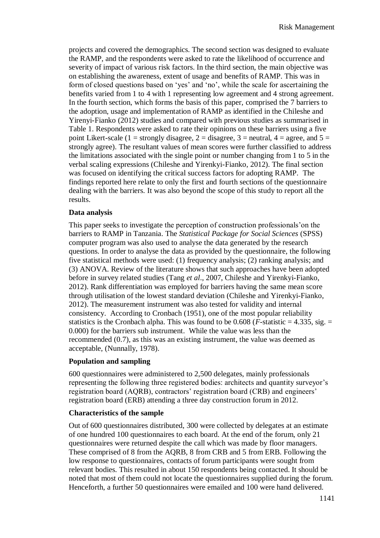projects and covered the demographics. The second section was designed to evaluate the RAMP, and the respondents were asked to rate the likelihood of occurrence and severity of impact of various risk factors. In the third section, the main objective was on establishing the awareness, extent of usage and benefits of RAMP. This was in form of closed questions based on 'yes' and 'no', while the scale for ascertaining the benefits varied from 1 to 4 with 1 representing low agreement and 4 strong agreement. In the fourth section, which forms the basis of this paper, comprised the 7 barriers to the adoption, usage and implementation of RAMP as identified in the Chileshe and Yirenyi-Fianko (2012) studies and compared with previous studies as summarised in Table 1. Respondents were asked to rate their opinions on these barriers using a five point Likert-scale (1 = strongly disagree, 2 = disagree, 3 = neutral, 4 = agree, and 5 = strongly agree). The resultant values of mean scores were further classified to address the limitations associated with the single point or number changing from 1 to 5 in the verbal scaling expressions (Chileshe and Yirenkyi-Fianko, 2012). The final section was focused on identifying the critical success factors for adopting RAMP. The findings reported here relate to only the first and fourth sections of the questionnaire dealing with the barriers. It was also beyond the scope of this study to report all the results.

#### **Data analysis**

This paper seeks to investigate the perception of construction professionals'on the barriers to RAMP in Tanzania. The *Statistical Package for Social Sciences* (SPSS) computer program was also used to analyse the data generated by the research questions. In order to analyse the data as provided by the questionnaire, the following five statistical methods were used: (1) frequency analysis; (2) ranking analysis; and (3) ANOVA. Review of the literature shows that such approaches have been adopted before in survey related studies (Tang *et al*., 2007, Chileshe and Yirenkyi-Fianko, 2012). Rank differentiation was employed for barriers having the same mean score through utilisation of the lowest standard deviation (Chileshe and Yirenkyi-Fianko, 2012). The measurement instrument was also tested for validity and internal consistency. According to Cronbach (1951), one of the most popular reliability statistics is the Cronbach alpha. This was found to be 0.608 ( $F$ -statistic = 4.335, sig. = 0.000) for the barriers sub instrument. While the value was less than the recommended (0.7), as this was an existing instrument, the value was deemed as acceptable, (Nunnally, 1978).

#### **Population and sampling**

600 questionnaires were administered to 2,500 delegates, mainly professionals representing the following three registered bodies: architects and quantity surveyor's registration board (AQRB), contractors' registration board (CRB) and engineers' registration board (ERB) attending a three day construction forum in 2012.

#### **Characteristics of the sample**

Out of 600 questionnaires distributed, 300 were collected by delegates at an estimate of one hundred 100 questionnaires to each board. At the end of the forum, only 21 questionnaires were returned despite the call which was made by floor managers. These comprised of 8 from the AQRB, 8 from CRB and 5 from ERB. Following the low response to questionnaires, contacts of forum participants were sought from relevant bodies. This resulted in about 150 respondents being contacted. It should be noted that most of them could not locate the questionnaires supplied during the forum. Henceforth, a further 50 questionnaires were emailed and 100 were hand delivered.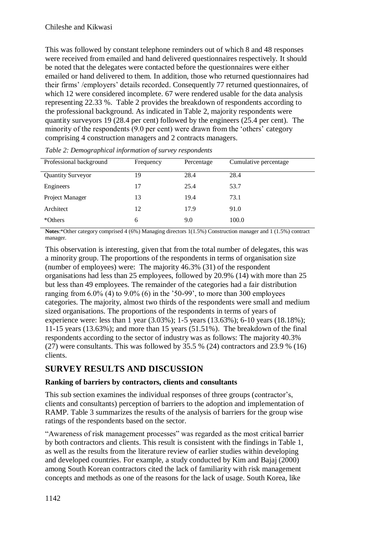This was followed by constant telephone reminders out of which 8 and 48 responses were received from emailed and hand delivered questionnaires respectively. It should be noted that the delegates were contacted before the questionnaires were either emailed or hand delivered to them. In addition, those who returned questionnaires had their firms' /employers' details recorded. Consequently 77 returned questionnaires, of which 12 were considered incomplete. 67 were rendered usable for the data analysis representing 22.33 %. Table 2 provides the breakdown of respondents according to the professional background. As indicated in Table 2, majority respondents were quantity surveyors 19 (28.4 per cent) followed by the engineers (25.4 per cent). The minority of the respondents (9.0 per cent) were drawn from the 'others' category comprising 4 construction managers and 2 contracts managers.

| Professional background  | Frequency | Percentage | Cumulative percentage |
|--------------------------|-----------|------------|-----------------------|
| <b>Quantity Surveyor</b> | 19        | 28.4       | 28.4                  |
| Engineers                | 17        | 25.4       | 53.7                  |
| Project Manager          | 13        | 19.4       | 73.1                  |
| Architect                | 12        | 17.9       | 91.0                  |
| *Others                  | 6         | 9.0        | 100.0                 |

*Table 2: Demographical information of survey respondents* 

**Notes**:\*Other category comprised 4 (6%) Managing directors 1(1.5%) Construction manager and 1 (1.5%) contract manager.

This observation is interesting, given that from the total number of delegates, this was a minority group. The proportions of the respondents in terms of organisation size (number of employees) were: The majority 46.3% (31) of the respondent organisations had less than 25 employees, followed by 20.9% (14) with more than 25 but less than 49 employees. The remainder of the categories had a fair distribution ranging from 6.0% (4) to 9.0% (6) in the '50-99', to more than 300 employees categories. The majority, almost two thirds of the respondents were small and medium sized organisations. The proportions of the respondents in terms of years of experience were: less than 1 year (3.03%); 1-5 years (13.63%); 6-10 years (18.18%); 11-15 years (13.63%); and more than 15 years (51.51%). The breakdown of the final respondents according to the sector of industry was as follows: The majority 40.3% (27) were consultants. This was followed by 35.5 % (24) contractors and 23.9 % (16) clients.

## **SURVEY RESULTS AND DISCUSSION**

### **Ranking of barriers by contractors, clients and consultants**

This sub section examines the individual responses of three groups (contractor's, clients and consultants) perception of barriers to the adoption and implementation of RAMP. Table 3 summarizes the results of the analysis of barriers for the group wise ratings of the respondents based on the sector.

"Awareness of risk management processes" was regarded as the most critical barrier by both contractors and clients. This result is consistent with the findings in Table 1, as well as the results from the literature review of earlier studies within developing and developed countries. For example, a study conducted by Kim and Bajaj (2000) among South Korean contractors cited the lack of familiarity with risk management concepts and methods as one of the reasons for the lack of usage. South Korea, like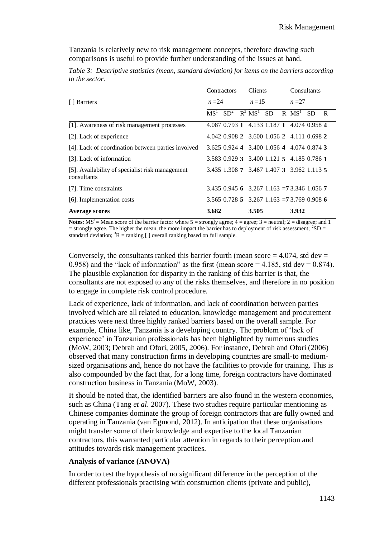Tanzania is relatively new to risk management concepts, therefore drawing such comparisons is useful to provide further understanding of the issues at hand.

*Table 3: Descriptive statistics (mean, standard deviation) for items on the barriers according to the sector.*

|                                                                | Contractors | <b>Clients</b>                                  | Consultants    |
|----------------------------------------------------------------|-------------|-------------------------------------------------|----------------|
| [ ] Barriers                                                   | $n=24$      | $n = 15$                                        | $n=27$         |
|                                                                |             | $MS1$ $SD2$ $R3$ $MS1$ SD R $MS1$ SD            | $\overline{R}$ |
| [1]. Awareness of risk management processes                    |             | 4.087 0.793 1 4.133 1.187 1 4.074 0.958 4       |                |
| [2]. Lack of experience                                        |             | 4.042 0.908 2 3.600 1.056 2 4.111 0.698 2       |                |
| [4]. Lack of coordination between parties involved             |             | 3.625 0.924 4 3.400 1.056 4 4.074 0.874 3       |                |
| [3]. Lack of information                                       |             | 3.583 0.929 3 3.400 1.121 5 4.185 0.786 1       |                |
| [5]. Availability of specialist risk management<br>consultants |             | 3.435 1.308 7 3.467 1.407 3 3.962 1.113 5       |                |
| [7]. Time constraints                                          |             | $3.435$ 0.945 6 $3.267$ 1.163 = 73.346 1.056 7  |                |
| [6]. Implementation costs                                      |             | $3.565$ 0.728 5 $3.267$ 1.163 $=73.769$ 0.908 6 |                |
| <b>Average scores</b>                                          | 3.682       | 3.505                                           | 3.932          |

**Notes**:  $MS^1$  = Mean score of the barrier factor where  $5$  = strongly agree;  $4$  = agree;  $3$  = neutral;  $2$  = disagree; and 1  $=$  strongly agree. The higher the mean, the more impact the barrier has to deployment of risk assessment;  ${}^{2}SD =$ standard deviation;  ${}^{3}R$  = ranking [ ] overall ranking based on full sample.

Conversely, the consultants ranked this barrier fourth (mean score  $=$  4.074, std dev  $=$ 0.958) and the "lack of information" as the first (mean score  $=$  4.185, std dev  $=$  0.874). The plausible explanation for disparity in the ranking of this barrier is that, the consultants are not exposed to any of the risks themselves, and therefore in no position to engage in complete risk control procedure.

Lack of experience, lack of information, and lack of coordination between parties involved which are all related to education, knowledge management and procurement practices were next three highly ranked barriers based on the overall sample. For example, China like, Tanzania is a developing country. The problem of 'lack of experience' in Tanzanian professionals has been highlighted by numerous studies (MoW, 2003; Debrah and Ofori, 2005, 2006). For instance, Debrah and Ofori (2006) observed that many construction firms in developing countries are small-to mediumsized organisations and, hence do not have the facilities to provide for training. This is also compounded by the fact that, for a long time, foreign contractors have dominated construction business in Tanzania (MoW, 2003).

It should be noted that, the identified barriers are also found in the western economies, such as China (Tang *et al*. 2007). These two studies require particular mentioning as Chinese companies dominate the group of foreign contractors that are fully owned and operating in Tanzania (van Egmond, 2012). In anticipation that these organisations might transfer some of their knowledge and expertise to the local Tanzanian contractors, this warranted particular attention in regards to their perception and attitudes towards risk management practices.

#### **Analysis of variance (ANOVA)**

In order to test the hypothesis of no significant difference in the perception of the different professionals practising with construction clients (private and public),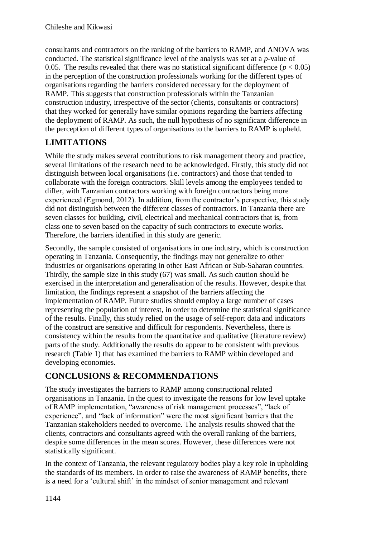consultants and contractors on the ranking of the barriers to RAMP, and ANOVA was conducted. The statistical significance level of the analysis was set at a *p*-value of 0.05. The results revealed that there was no statistical significant difference  $(p < 0.05)$ in the perception of the construction professionals working for the different types of organisations regarding the barriers considered necessary for the deployment of RAMP. This suggests that construction professionals within the Tanzanian construction industry, irrespective of the sector (clients, consultants or contractors) that they worked for generally have similar opinions regarding the barriers affecting the deployment of RAMP. As such, the null hypothesis of no significant difference in the perception of different types of organisations to the barriers to RAMP is upheld.

# **LIMITATIONS**

While the study makes several contributions to risk management theory and practice, several limitations of the research need to be acknowledged. Firstly, this study did not distinguish between local organisations (i.e. contractors) and those that tended to collaborate with the foreign contractors. Skill levels among the employees tended to differ, with Tanzanian contractors working with foreign contractors being more experienced (Egmond, 2012). In addition, from the contractor's perspective, this study did not distinguish between the different classes of contractors. In Tanzania there are seven classes for building, civil, electrical and mechanical contractors that is, from class one to seven based on the capacity of such contractors to execute works. Therefore, the barriers identified in this study are generic.

Secondly, the sample consisted of organisations in one industry, which is construction operating in Tanzania. Consequently, the findings may not generalize to other industries or organisations operating in other East African or Sub-Saharan countries. Thirdly, the sample size in this study (67) was small. As such caution should be exercised in the interpretation and generalisation of the results. However, despite that limitation, the findings represent a snapshot of the barriers affecting the implementation of RAMP. Future studies should employ a large number of cases representing the population of interest, in order to determine the statistical significance of the results. Finally, this study relied on the usage of self-report data and indicators of the construct are sensitive and difficult for respondents. Nevertheless, there is consistency within the results from the quantitative and qualitative (literature review) parts of the study. Additionally the results do appear to be consistent with previous research (Table 1) that has examined the barriers to RAMP within developed and developing economies.

## **CONCLUSIONS & RECOMMENDATIONS**

The study investigates the barriers to RAMP among constructional related organisations in Tanzania. In the quest to investigate the reasons for low level uptake of RAMP implementation, "awareness of risk management processes", "lack of experience", and "lack of information" were the most significant barriers that the Tanzanian stakeholders needed to overcome. The analysis results showed that the clients, contractors and consultants agreed with the overall ranking of the barriers, despite some differences in the mean scores. However, these differences were not statistically significant.

In the context of Tanzania, the relevant regulatory bodies play a key role in upholding the standards of its members. In order to raise the awareness of RAMP benefits, there is a need for a 'cultural shift' in the mindset of senior management and relevant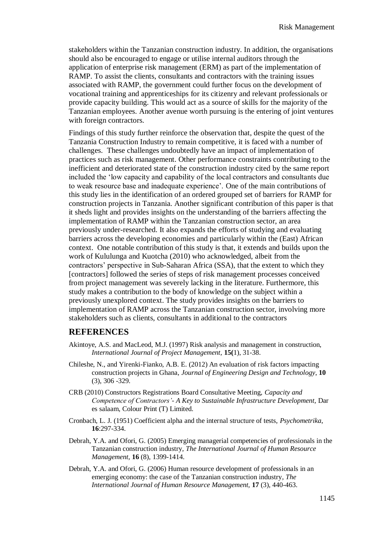stakeholders within the Tanzanian construction industry. In addition, the organisations should also be encouraged to engage or utilise internal auditors through the application of enterprise risk management (ERM) as part of the implementation of RAMP. To assist the clients, consultants and contractors with the training issues associated with RAMP, the government could further focus on the development of vocational training and apprenticeships for its citizenry and relevant professionals or provide capacity building. This would act as a source of skills for the majority of the Tanzanian employees. Another avenue worth pursuing is the entering of joint ventures with foreign contractors.

Findings of this study further reinforce the observation that, despite the quest of the Tanzania Construction Industry to remain competitive, it is faced with a number of challenges. These challenges undoubtedly have an impact of implementation of practices such as risk management. Other performance constraints contributing to the inefficient and deteriorated state of the construction industry cited by the same report included the 'low capacity and capability of the local contractors and consultants due to weak resource base and inadequate experience'. One of the main contributions of this study lies in the identification of an ordered grouped set of barriers for RAMP for construction projects in Tanzania. Another significant contribution of this paper is that it sheds light and provides insights on the understanding of the barriers affecting the implementation of RAMP within the Tanzanian construction sector, an area previously under-researched. It also expands the efforts of studying and evaluating barriers across the developing economies and particularly within the (East) African context. One notable contribution of this study is that, it extends and builds upon the work of Kululunga and Kuotcha (2010) who acknowledged, albeit from the contractors' perspective in Sub-Saharan Africa (SSA), that the extent to which they [contractors] followed the series of steps of risk management processes conceived from project management was severely lacking in the literature. Furthermore, this study makes a contribution to the body of knowledge on the subject within a previously unexplored context. The study provides insights on the barriers to implementation of RAMP across the Tanzanian construction sector, involving more stakeholders such as clients, consultants in additional to the contractors

#### **REFERENCES**

- Akintoye, A.S. and MacLeod, M.J. (1997) Risk analysis and management in construction, *International Journal of Project Management,* **15(**1), 31-38.
- Chileshe, N., and Yirenki-Fianko, A.B. E. (2012) An evaluation of risk factors impacting construction projects in Ghana, *Journal of Engineering Design and Technology*, **10**  (3), 306 -329.
- CRB (2010) Constructors Registrations Board Consultative Meeting, *Capacity and Competence of Contractors'- A Key to Sustainable Infrastructure Development,* Dar es salaam, Colour Print (T) Limited.
- Cronbach, L. J. (1951) Coefficient alpha and the internal structure of tests, *Psychometrika*, **16**:297-334.
- Debrah, Y.A. and Ofori, G. (2005) Emerging managerial competencies of professionals in the Tanzanian construction industry*, The International Journal of Human Resource Management,* **16** (8), 1399-1414.
- Debrah, Y.A. and Ofori, G. (2006) Human resource development of professionals in an emerging economy: the case of the Tanzanian construction industry*, The International Journal of Human Resource Management,* **17** (3), 440-463.